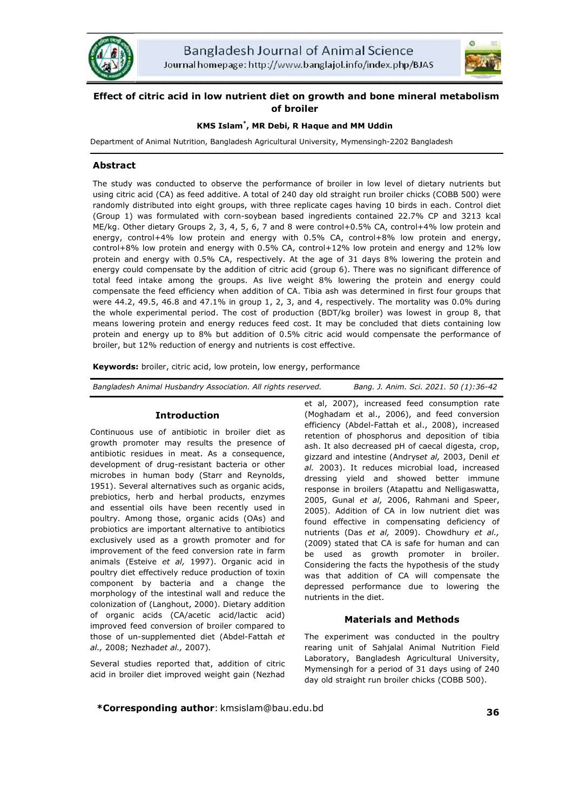



# **Effect of citric acid in low nutrient diet on growth and bone mineral metabolism of broiler**

## **KMS Islam\* , MR Debi, R Haque and MM Uddin**

Department of Animal Nutrition, Bangladesh Agricultural University, Mymensingh-2202 Bangladesh

## **Abstract**

The study was conducted to observe the performance of broiler in low level of dietary nutrients but using citric acid (CA) as feed additive. A total of 240 day old straight run broiler chicks (COBB 500) were randomly distributed into eight groups, with three replicate cages having 10 birds in each. Control diet (Group 1) was formulated with corn-soybean based ingredients contained 22.7% CP and 3213 kcal ME/kg. Other dietary Groups 2, 3, 4, 5, 6, 7 and 8 were control+0.5% CA, control+4% low protein and energy, control+4% low protein and energy with 0.5% CA, control+8% low protein and energy, control+8% low protein and energy with 0.5% CA, control+12% low protein and energy and 12% low protein and energy with 0.5% CA, respectively. At the age of 31 days 8% lowering the protein and energy could compensate by the addition of citric acid (group 6). There was no significant difference of total feed intake among the groups. As live weight 8% lowering the protein and energy could compensate the feed efficiency when addition of CA. Tibia ash was determined in first four groups that were 44.2, 49.5, 46.8 and 47.1% in group 1, 2, 3, and 4, respectively. The mortality was 0.0% during the whole experimental period. The cost of production (BDT/kg broiler) was lowest in group 8, that means lowering protein and energy reduces feed cost. It may be concluded that diets containing low protein and energy up to 8% but addition of 0.5% citric acid would compensate the performance of broiler, but 12% reduction of energy and nutrients is cost effective.

**Keywords:** broiler, citric acid, low protein, low energy, performance

| Bangladesh Animal Husbandry Association. All rights reserved. | Bang. J. Anim. Sci. 2021. 50 (1):36-42 |
|---------------------------------------------------------------|----------------------------------------|
|                                                               |                                        |

## **Introduction**

Continuous use of antibiotic in broiler diet as growth promoter may results the presence of antibiotic residues in meat. As a consequence, development of drug-resistant bacteria or other microbes in human body (Starr and Reynolds, 1951). Several alternatives such as organic acids, prebiotics, herb and herbal products, enzymes and essential oils have been recently used in poultry. Among those, organic acids (OAs) and probiotics are important alternative to antibiotics exclusively used as a growth promoter and for improvement of the feed conversion rate in farm animals (Esteive *et al,* 1997). Organic acid in poultry diet effectively reduce production of toxin component by bacteria and a change the morphology of the intestinal wall and reduce the colonization of (Langhout, 2000). Dietary addition of organic acids (CA/acetic acid/lactic acid) improved feed conversion of broiler compared to those of un-supplemented diet (Abdel-Fattah *et al.,* 2008; Nezhad*et al.,* 2007)*.* 

Several studies reported that, addition of citric acid in broiler diet improved weight gain (Nezhad

et al, 2007), increased feed consumption rate (Moghadam et al., 2006), and feed conversion efficiency (Abdel-Fattah et al., 2008), increased retention of phosphorus and deposition of tibia ash. It also decreased pH of caecal digesta, crop, gizzard and intestine (Andrys*et al,* 2003, Denil *et al.* 2003). It reduces microbial load, increased dressing yield and showed better immune response in broilers (Atapattu and Nelligaswatta, 2005, Gunal *et al,* 2006, Rahmani and Speer, 2005). Addition of CA in low nutrient diet was found effective in compensating deficiency of nutrients (Das *et al,* 2009). Chowdhury *et al.,*  (2009) stated that CA is safe for human and can be used as growth promoter in broiler. Considering the facts the hypothesis of the study was that addition of CA will compensate the depressed performance due to lowering the nutrients in the diet.

## **Materials and Methods**

The experiment was conducted in the poultry rearing unit of Sahjalal Animal Nutrition Field Laboratory, Bangladesh Agricultural University, Mymensingh for a period of 31 days using of 240 day old straight run broiler chicks (COBB 500).

**\*Corresponding author**: kmsislam@bau.edu.bd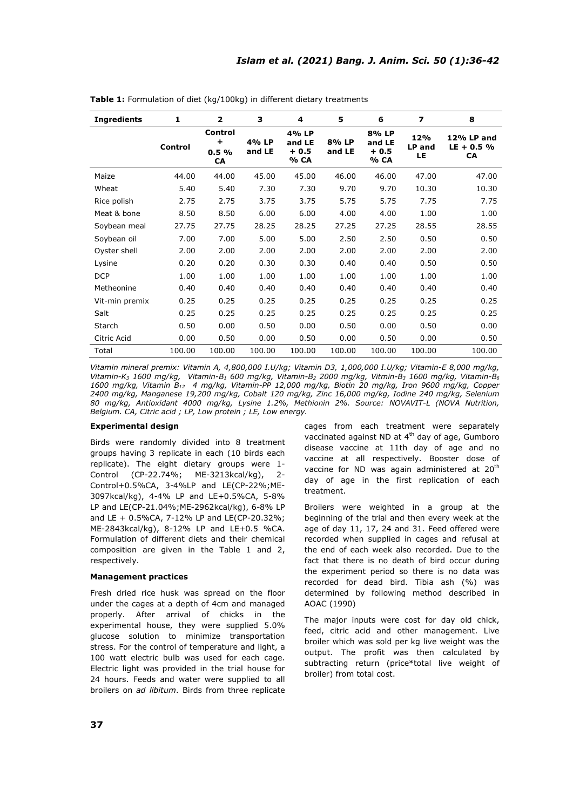| <b>Ingredients</b> | 1       | $\overline{2}$             | 3               | 4                                 | 5               | 6                                 | $\overline{\mathbf{z}}$ | 8                                       |
|--------------------|---------|----------------------------|-----------------|-----------------------------------|-----------------|-----------------------------------|-------------------------|-----------------------------------------|
|                    | Control | Control<br>÷<br>0.5%<br>CA | 4% LP<br>and LE | 4% LP<br>and LE<br>$+0.5$<br>% CA | 8% LP<br>and LE | 8% LP<br>and LE<br>$+0.5$<br>% CA | 12%<br>LP and<br>LE     | 12% LP and<br>$LE + 0.5 %$<br><b>CA</b> |
| Maize              | 44.00   | 44.00                      | 45.00           | 45.00                             | 46.00           | 46.00                             | 47.00                   | 47.00                                   |
| Wheat              | 5.40    | 5.40                       | 7.30            | 7.30                              | 9.70            | 9.70                              | 10.30                   | 10.30                                   |
| Rice polish        | 2.75    | 2.75                       | 3.75            | 3.75                              | 5.75            | 5.75                              | 7.75                    | 7.75                                    |
| Meat & bone        | 8.50    | 8.50                       | 6.00            | 6.00                              | 4.00            | 4.00                              | 1.00                    | 1.00                                    |
| Soybean meal       | 27.75   | 27.75                      | 28.25           | 28.25                             | 27.25           | 27.25                             | 28.55                   | 28.55                                   |
| Soybean oil        | 7.00    | 7.00                       | 5.00            | 5.00                              | 2.50            | 2.50                              | 0.50                    | 0.50                                    |
| Oyster shell       | 2.00    | 2.00                       | 2.00            | 2.00                              | 2.00            | 2.00                              | 2.00                    | 2.00                                    |
| Lysine             | 0.20    | 0.20                       | 0.30            | 0.30                              | 0.40            | 0.40                              | 0.50                    | 0.50                                    |
| <b>DCP</b>         | 1.00    | 1.00                       | 1.00            | 1.00                              | 1.00            | 1.00                              | 1.00                    | 1.00                                    |
| Metheonine         | 0.40    | 0.40                       | 0.40            | 0.40                              | 0.40            | 0.40                              | 0.40                    | 0.40                                    |
| Vit-min premix     | 0.25    | 0.25                       | 0.25            | 0.25                              | 0.25            | 0.25                              | 0.25                    | 0.25                                    |
| Salt               | 0.25    | 0.25                       | 0.25            | 0.25                              | 0.25            | 0.25                              | 0.25                    | 0.25                                    |
| Starch             | 0.50    | 0.00                       | 0.50            | 0.00                              | 0.50            | 0.00                              | 0.50                    | 0.00                                    |
| Citric Acid        | 0.00    | 0.50                       | 0.00            | 0.50                              | 0.00            | 0.50                              | 0.00                    | 0.50                                    |
| Total              | 100.00  | 100.00                     | 100.00          | 100.00                            | 100.00          | 100.00                            | 100.00                  | 100.00                                  |

**Table 1:** Formulation of diet (kg/100kg) in different dietary treatments

*Vitamin mineral premix: Vitamin A, 4,800,000 I.U/kg; Vitamin D3, 1,000,000 I.U/kg; Vitamin-E 8,000 mg/kg, Vitamin-K3 1600 mg/kg, Vitamin-B1 600 mg/kg, Vitamin-B2 2000 mg/kg, Vitmin-B3 1600 mg/kg, Vitamin-B6 1600 mg/kg, Vitamin B12 4 mg/kg, Vitamin-PP 12,000 mg/kg, Biotin 20 mg/kg, Iron 9600 mg/kg, Copper 2400 mg/kg, Manganese 19,200 mg/kg, Cobalt 120 mg/kg, Zinc 16,000 mg/kg, Iodine 240 mg/kg, Selenium 80 mg/kg, Antioxidant 4000 mg/kg, Lysine 1.2%, Methionin 2%. Source: NOVAVIT-L (NOVA Nutrition, Belgium. CA, Citric acid ; LP, Low protein ; LE, Low energy.*

## **Experimental design**

Birds were randomly divided into 8 treatment groups having 3 replicate in each (10 birds each replicate). The eight dietary groups were 1- Control (CP-22.74%; ME-3213kcal/kg), 2- Control+0.5%CA, 3-4%LP and LE(CP-22%;ME-3097kcal/kg), 4-4% LP and LE+0.5%CA, 5-8% LP and LE(CP-21.04%;ME-2962kcal/kg), 6-8% LP and LE + 0.5%CA, 7-12% LP and LE(CP-20.32%; ME-2843kcal/kg), 8-12% LP and LE+0.5 %CA. Formulation of different diets and their chemical composition are given in the Table 1 and 2, respectively.

#### **Management practices**

Fresh dried rice husk was spread on the floor under the cages at a depth of 4cm and managed properly. After arrival of chicks in the experimental house, they were supplied 5.0% glucose solution to minimize transportation stress. For the control of temperature and light, a 100 watt electric bulb was used for each cage. Electric light was provided in the trial house for 24 hours. Feeds and water were supplied to all broilers on *ad libitum*. Birds from three replicate cages from each treatment were separately vaccinated against ND at 4<sup>th</sup> day of age, Gumboro disease vaccine at 11th day of age and no vaccine at all respectively. Booster dose of vaccine for ND was again administered at 20<sup>th</sup> day of age in the first replication of each treatment.

Broilers were weighted in a group at the beginning of the trial and then every week at the age of day 11, 17, 24 and 31. Feed offered were recorded when supplied in cages and refusal at the end of each week also recorded. Due to the fact that there is no death of bird occur during the experiment period so there is no data was recorded for dead bird. Tibia ash (%) was determined by following method described in AOAC (1990)

The major inputs were cost for day old chick, feed, citric acid and other management. Live broiler which was sold per kg live weight was the output. The profit was then calculated by subtracting return (price\*total live weight of broiler) from total cost.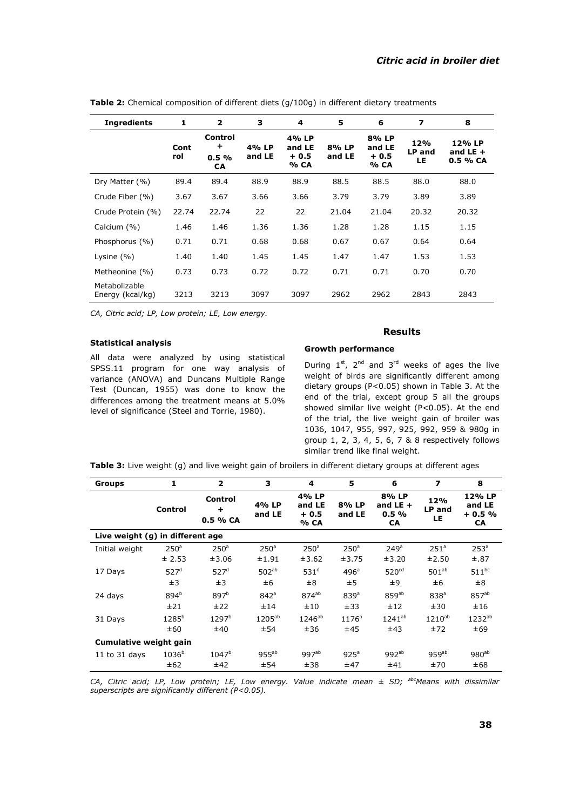| <b>Ingredients</b>                | 1           | $\overline{2}$                       | 3               | 4                                 | 5               | 6                                 | 7                    | 8                                 |
|-----------------------------------|-------------|--------------------------------------|-----------------|-----------------------------------|-----------------|-----------------------------------|----------------------|-----------------------------------|
|                                   | Cont<br>rol | Control<br>÷<br>$0.5\%$<br><b>CA</b> | 4% LP<br>and LE | 4% LP<br>and LE<br>$+0.5$<br>% CA | 8% LP<br>and LE | 8% LP<br>and LE<br>$+0.5$<br>% CA | 12%<br>LP and<br>LE. | 12% LP<br>and LE $+$<br>$0.5%$ CA |
| Dry Matter (%)                    | 89.4        | 89.4                                 | 88.9            | 88.9                              | 88.5            | 88.5                              | 88.0                 | 88.0                              |
| Crude Fiber (%)                   | 3.67        | 3.67                                 | 3.66            | 3.66                              | 3.79            | 3.79                              | 3.89                 | 3.89                              |
| Crude Protein (%)                 | 22.74       | 22.74                                | 22              | 22                                | 21.04           | 21.04                             | 20.32                | 20.32                             |
| Calcium (%)                       | 1.46        | 1.46                                 | 1.36            | 1.36                              | 1.28            | 1.28                              | 1.15                 | 1.15                              |
| Phosphorus (%)                    | 0.71        | 0.71                                 | 0.68            | 0.68                              | 0.67            | 0.67                              | 0.64                 | 0.64                              |
| Lysine $(\% )$                    | 1.40        | 1.40                                 | 1.45            | 1.45                              | 1.47            | 1.47                              | 1.53                 | 1.53                              |
| Metheonine (%)                    | 0.73        | 0.73                                 | 0.72            | 0.72                              | 0.71            | 0.71                              | 0.70                 | 0.70                              |
| Metabolizable<br>Energy (kcal/kg) | 3213        | 3213                                 | 3097            | 3097                              | 2962            | 2962                              | 2843                 | 2843                              |

**Table 2:** Chemical composition of different diets (g/100g) in different dietary treatments

*CA, Citric acid; LP, Low protein; LE, Low energy.*

### **Statistical analysis**

All data were analyzed by using statistical SPSS.11 program for one way analysis of variance (ANOVA) and Duncans Multiple Range Test (Duncan, 1955) was done to know the differences among the treatment means at 5.0% level of significance (Steel and Torrie, 1980).

## **Results**

#### **Growth performance**

During  $1^{st}$ ,  $2^{nd}$  and  $3^{rd}$  weeks of ages the live weight of birds are significantly different among dietary groups (P<0.05) shown in Table 3. At the end of the trial, except group 5 all the groups showed similar live weight (P<0.05). At the end of the trial, the live weight gain of broiler was 1036, 1047, 955, 997, 925, 992, 959 & 980g in group 1, 2, 3, 4, 5, 6, 7 & 8 respectively follows similar trend like final weight.

**Table 3:** Live weight (g) and live weight gain of broilers in different dietary groups at different ages

| <b>Groups</b>                    | 1                | $\overline{\mathbf{2}}$          | з                | 4                                 | 5                | 6                                        | 7                    | 8                                        |  |
|----------------------------------|------------------|----------------------------------|------------------|-----------------------------------|------------------|------------------------------------------|----------------------|------------------------------------------|--|
|                                  | Control          | Control<br>$\ddot{}$<br>0.5 % CA | 4% LP<br>and LE  | 4% LP<br>and LE<br>$+0.5$<br>% CA | 8% LP<br>and LE  | 8% LP<br>and LE $+$<br>0.5%<br><b>CA</b> | 12%<br>LP and<br>LE. | 12% LP<br>and LE<br>$+0.5%$<br><b>CA</b> |  |
| Live weight (g) in different age |                  |                                  |                  |                                   |                  |                                          |                      |                                          |  |
| Initial weight                   | 250 <sup>a</sup> | 250 <sup>a</sup>                 | 250 <sup>a</sup> | 250 <sup>a</sup>                  | 250 <sup>a</sup> | 249 <sup>a</sup>                         | 251 <sup>a</sup>     | 253 <sup>a</sup>                         |  |
|                                  | ± 2.53           | ±3.06                            | ±1.91            | ±3.62                             | ±3.75            | ±3.20                                    | ±2.50                | $\pm.87$                                 |  |
| 17 Days                          | 527 <sup>d</sup> | 527 <sup>d</sup>                 | $502^{ab}$       | 531 <sup>d</sup>                  | 496 <sup>a</sup> | 520 <sup>cd</sup>                        | $501^{ab}$           | $511^{bc}$                               |  |
|                                  | ±3               | ±3                               | ±6               | ±8                                | ±5               | ±9                                       | ±6                   | ±8                                       |  |
| 24 days                          | 894 <sup>b</sup> | 897 <sup>b</sup>                 | 842 <sup>a</sup> | $874^{ab}$                        | 839 <sup>a</sup> | $859^{ab}$                               | 838 <sup>a</sup>     | 857 <sup>ab</sup>                        |  |
|                                  | ±21              | ±22                              | ±14              | ±10                               | ±33              | ±12                                      | ±30                  | ±16                                      |  |
| 31 Days                          | $1285^{b}$       | 1297 <sup>b</sup>                | $1205^{ab}$      | $1246^{ab}$                       | $1176^a$         | $1241^{ab}$                              | $1210^{ab}$          | $1232^{ab}$                              |  |
|                                  | ±60              | ±40                              | ±54              | ±36                               | ±45              | ±43                                      | ±72                  | ±69                                      |  |
| Cumulative weight gain           |                  |                                  |                  |                                   |                  |                                          |                      |                                          |  |
| 11 to $31$ days                  | $1036^{b}$       | $1047^b$                         | $955^{ab}$       | 997 <sup>ab</sup>                 | 925 <sup>a</sup> | $992^{ab}$                               | $959^{ab}$           | $980^{ab}$                               |  |
|                                  | ±62              | ±42                              | ±54              | ±38                               | ±47              | ±41                                      | ±70                  | ±68                                      |  |

*CA, Citric acid; LP, Low protein; LE, Low energy. Value indicate mean ± SD; abcMeans with dissimilar superscripts are significantly different (P<0.05).*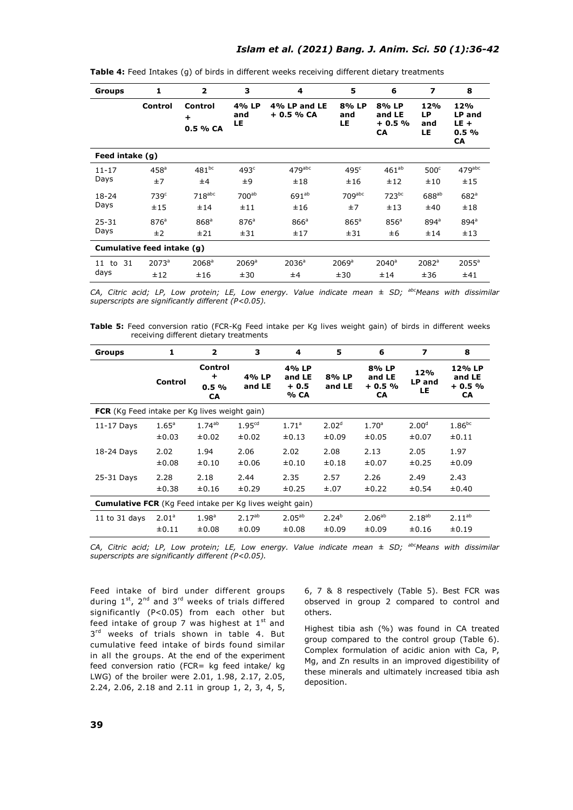| Groups                     | 1                       | $\overline{2}$              | 3                          | 4                           | 5                          | 6                                | $\overline{\mathbf{z}}$ | 8                                     |  |
|----------------------------|-------------------------|-----------------------------|----------------------------|-----------------------------|----------------------------|----------------------------------|-------------------------|---------------------------------------|--|
|                            | <b>Control</b>          | Control<br>÷<br>0.5 % CA    | 4% LP<br>and<br>LE         | 4% LP and LE<br>+ 0.5 % CA  | 8% LP<br>and<br>LE         | 8% LP<br>and LE<br>$+0.5%$<br>CA | 12%<br>LP<br>and<br>LE  | 12%<br>LP and<br>$LE +$<br>0.5%<br>CA |  |
| Feed intake (g)            |                         |                             |                            |                             |                            |                                  |                         |                                       |  |
| $11 - 17$<br>Days          | 458 <sup>a</sup><br>±7  | $481^{bc}$<br>±4            | 493 <sup>c</sup><br>±9     | $479$ <sup>abc</sup><br>±18 | 495 <sup>c</sup><br>±16    | $461^{ab}$<br>±12                | 500 <sup>c</sup><br>±10 | $479$ <sup>abc</sup><br>±15           |  |
| $18 - 24$<br>Days          | 739 <sup>c</sup><br>±15 | $718$ <sub>abc</sub><br>±14 | 700 <sup>ab</sup><br>±11   | $691^{ab}$<br>±16           | $709$ abc<br>±7            | 723 <sup>bc</sup><br>±13         | $688^{ab}$<br>±40       | 682 <sup>a</sup><br>±18               |  |
| $25 - 31$<br>Days          | 876 <sup>a</sup><br>±2  | 868 <sup>a</sup><br>±21     | 876 <sup>a</sup><br>±31    | 866 <sup>a</sup><br>±17     | $865^a$<br>±31             | 856 <sup>a</sup><br>±6           | $894^{\circ}$<br>±14    | $894^{\circ}$<br>±13                  |  |
| Cumulative feed intake (g) |                         |                             |                            |                             |                            |                                  |                         |                                       |  |
| 31<br>11 to<br>days        | $2073^a$<br>±12         | $2068^a$<br>±16             | $2069$ <sup>a</sup><br>±30 | 2036 <sup>a</sup><br>±4     | $2069$ <sup>a</sup><br>±30 | $2040^a$<br>±14                  | $2082^a$<br>±36         | $2055$ <sup>a</sup><br>±41            |  |

**Table 4:** Feed Intakes (g) of birds in different weeks receiving different dietary treatments

*CA, Citric acid; LP, Low protein; LE, Low energy. Value indicate mean ± SD; abcMeans with dissimilar superscripts are significantly different (P<0.05).* 

**Table 5:** Feed conversion ratio (FCR-Kg Feed intake per Kg lives weight gain) of birds in different weeks receiving different dietary treatments

| Groups                                                          | 1                 | $\overline{2}$                  | з                  | 4                                 | 5                 | 6                                       | 7                    | 8                                 |
|-----------------------------------------------------------------|-------------------|---------------------------------|--------------------|-----------------------------------|-------------------|-----------------------------------------|----------------------|-----------------------------------|
|                                                                 | Control           | Control<br>$\div$<br>0.5%<br>CA | 4% LP<br>and LE    | 4% LP<br>and LE<br>$+0.5$<br>% CA | 8% LP<br>and LE   | 8% LP<br>and LE<br>$+0.5%$<br><b>CA</b> | 12%<br>LP and<br>LE. | 12% LP<br>and LE<br>$+0.5%$<br>CA |
| <b>FCR</b> (Kg Feed intake per Kg lives weight gain)            |                   |                                 |                    |                                   |                   |                                         |                      |                                   |
| $11-17$ Days                                                    | $1.65^{\circ}$    | $1.74^{ab}$                     | 1.95 <sup>cd</sup> | $1.71^a$                          | 2.02 <sup>d</sup> | 1.70 <sup>a</sup>                       | 2.00 <sup>d</sup>    | $1.86^{bc}$                       |
|                                                                 | ±0.03             | ±0.02                           | ±0.02              | ±0.13                             | ±0.09             | ±0.05                                   | ±0.07                | ±0.11                             |
| 18-24 Days                                                      | 2.02              | 1.94                            | 2.06               | 2.02                              | 2.08              | 2.13                                    | 2.05                 | 1.97                              |
|                                                                 | ±0.08             | $\pm 0.10$                      | ±0.06              | ±0.10                             | ±0.18             | ±0.07                                   | ±0.25                | ±0.09                             |
| 25-31 Days                                                      | 2.28              | 2.18                            | 2.44               | 2.35                              | 2.57              | 2.26                                    | 2.49                 | 2.43                              |
|                                                                 | ±0.38             | ±0.16                           | ±0.29              | ±0.25                             | $\pm.07$          | ±0.22                                   | ±0.54                | ±0.40                             |
| <b>Cumulative FCR</b> (Kg Feed intake per Kg lives weight gain) |                   |                                 |                    |                                   |                   |                                         |                      |                                   |
| 11 to $31$ days                                                 | 2.01 <sup>a</sup> | 1.98 <sup>a</sup>               | $2.17^{ab}$        | $2.05^{ab}$                       | $2.24^{b}$        | $2.06^{ab}$                             | $2.18^{ab}$          | $2.11^{ab}$                       |
|                                                                 | ±0.11             | ±0.08                           | ±0.09              | ±0.08                             | ±0.09             | ±0.09                                   | ±0.16                | ±0.19                             |

*CA, Citric acid; LP, Low protein; LE, Low energy. Value indicate mean ± SD; abcMeans with dissimilar superscripts are significantly different (P<0.05).* 

Feed intake of bird under different groups during  $1^{st}$ ,  $2^{nd}$  and  $3^{rd}$  weeks of trials differed significantly (P<0.05) from each other but feed intake of group 7 was highest at  $1<sup>st</sup>$  and  $3<sup>rd</sup>$  weeks of trials shown in table 4. But cumulative feed intake of birds found similar in all the groups. At the end of the experiment feed conversion ratio (FCR= kg feed intake/ kg LWG) of the broiler were 2.01, 1.98, 2.17, 2.05, 2.24, 2.06, 2.18 and 2.11 in group 1, 2, 3, 4, 5, 6, 7 & 8 respectively (Table 5). Best FCR was observed in group 2 compared to control and others.

Highest tibia ash (%) was found in CA treated group compared to the control group (Table 6). Complex formulation of acidic anion with Ca, P, Mg, and Zn results in an improved digestibility of these minerals and ultimately increased tibia ash deposition.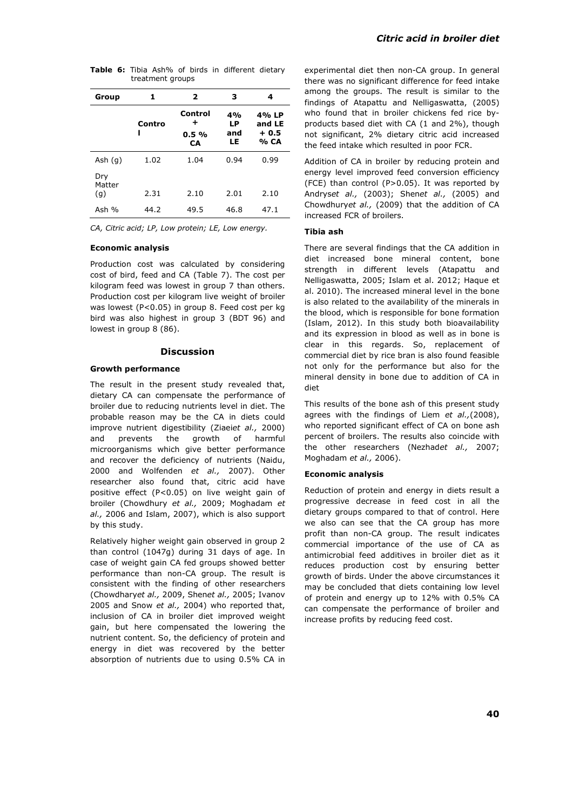| Group                | 1           | 2                                    | з                     | 4                                 |
|----------------------|-------------|--------------------------------------|-----------------------|-----------------------------------|
|                      | Contro<br>ı | Control<br>٠<br>$0.5\%$<br><b>CA</b> | 4%<br>LP<br>and<br>LE | 4% LP<br>and LE<br>$+0.5$<br>% CA |
| Ash $(q)$            | 1.02        | 1.04                                 | 0.94                  | 0.99                              |
| Dry<br>Matter<br>(g) | 2.31        | 2.10                                 | 2.01                  | 2.10                              |
| Ash $%$              | 44.2        | 49.5                                 | 46.8                  | 47.1                              |

**Table 6:** Tibia Ash% of birds in different dietary treatment groups

*CA, Citric acid; LP, Low protein; LE, Low energy.*

### **Economic analysis**

Production cost was calculated by considering cost of bird, feed and CA (Table 7). The cost per kilogram feed was lowest in group 7 than others. Production cost per kilogram live weight of broiler was lowest (P<0.05) in group 8. Feed cost per kg bird was also highest in group 3 (BDT 96) and lowest in group 8 (86).

## **Discussion**

#### **Growth performance**

The result in the present study revealed that, dietary CA can compensate the performance of broiler due to reducing nutrients level in diet. The probable reason may be the CA in diets could improve nutrient digestibility (Ziaei*et al.,* 2000) and prevents the growth of harmful microorganisms which give better performance and recover the deficiency of nutrients (Naidu, 2000 and Wolfenden *et al.,* 2007). Other researcher also found that, citric acid have positive effect (P<0.05) on live weight gain of broiler (Chowdhury *et al.,* 2009; Moghadam *et al.,* 2006 and Islam, 2007), which is also support by this study.

Relatively higher weight gain observed in group 2 than control (1047g) during 31 days of age. In case of weight gain CA fed groups showed better performance than non-CA group. The result is consistent with the finding of other researchers (Chowdhary*et al.,* 2009, Shen*et al.,* 2005; Ivanov 2005 and Snow *et al.,* 2004) who reported that, inclusion of CA in broiler diet improved weight gain, but here compensated the lowering the nutrient content. So, the deficiency of protein and energy in diet was recovered by the better absorption of nutrients due to using 0.5% CA in experimental diet then non-CA group. In general there was no significant difference for feed intake among the groups. The result is similar to the findings of Atapattu and Nelligaswatta, (2005) who found that in broiler chickens fed rice byproducts based diet with CA (1 and 2%), though not significant, 2% dietary citric acid increased the feed intake which resulted in poor FCR.

Addition of CA in broiler by reducing protein and energy level improved feed conversion efficiency (FCE) than control (P>0.05). It was reported by Andrys*et al.,* (2003); Shen*et al.,* (2005) and Chowdhury*et al.,* (2009) that the addition of CA increased FCR of broilers.

#### **Tibia ash**

There are several findings that the CA addition in diet increased bone mineral content, bone strength in different levels (Atapattu and Nelligaswatta, 2005; Islam et al. 2012; Haque et al. 2010). The increased mineral level in the bone is also related to the availability of the minerals in the blood, which is responsible for bone formation (Islam, 2012). In this study both bioavailability and its expression in blood as well as in bone is clear in this regards. So, replacement of commercial diet by rice bran is also found feasible not only for the performance but also for the mineral density in bone due to addition of CA in diet

This results of the bone ash of this present study agrees with the findings of Liem *et al.,*(2008), who reported significant effect of CA on bone ash percent of broilers. The results also coincide with the other researchers (Nezhad*et al.,* 2007; Moghadam *et al.,* 2006).

#### **Economic analysis**

Reduction of protein and energy in diets result a progressive decrease in feed cost in all the dietary groups compared to that of control. Here we also can see that the CA group has more profit than non-CA group. The result indicates commercial importance of the use of CA as antimicrobial feed additives in broiler diet as it reduces production cost by ensuring better growth of birds. Under the above circumstances it may be concluded that diets containing low level of protein and energy up to 12% with 0.5% CA can compensate the performance of broiler and increase profits by reducing feed cost.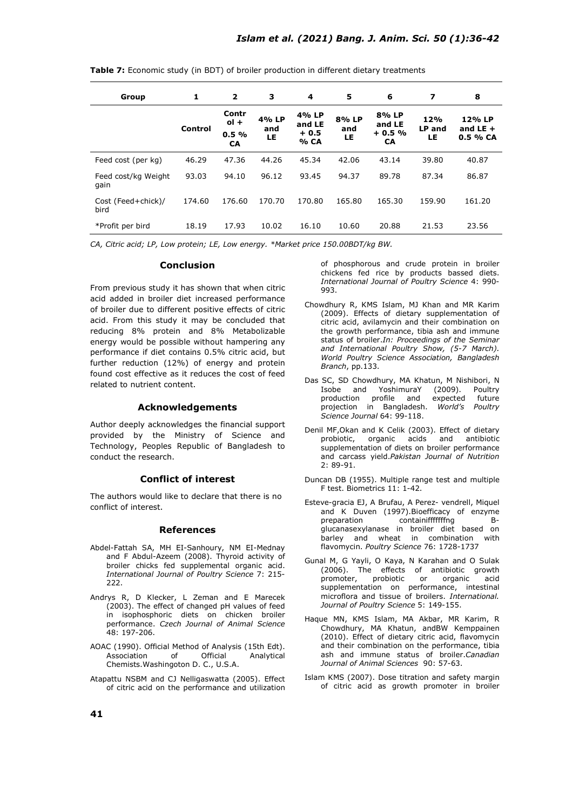| Group                       | 1       | $\overline{2}$                | 3                  | 4                                 | 5                  | 6                                       | 7                   | 8                                 |
|-----------------------------|---------|-------------------------------|--------------------|-----------------------------------|--------------------|-----------------------------------------|---------------------|-----------------------------------|
|                             | Control | Contr<br>$ol +$<br>0.5%<br>CA | 4% LP<br>and<br>LE | 4% LP<br>and LE<br>$+0.5$<br>% CA | 8% LP<br>and<br>LE | 8% LP<br>and LE<br>$+0.5%$<br><b>CA</b> | 12%<br>LP and<br>LE | 12% LP<br>and $LE +$<br>$0.5%$ CA |
| Feed cost (per kg)          | 46.29   | 47.36                         | 44.26              | 45.34                             | 42.06              | 43.14                                   | 39.80               | 40.87                             |
| Feed cost/kg Weight<br>gain | 93.03   | 94.10                         | 96.12              | 93.45                             | 94.37              | 89.78                                   | 87.34               | 86.87                             |
| Cost (Feed+chick)/<br>bird  | 174.60  | 176.60                        | 170.70             | 170.80                            | 165.80             | 165.30                                  | 159.90              | 161.20                            |
| *Profit per bird            | 18.19   | 17.93                         | 10.02              | 16.10                             | 10.60              | 20.88                                   | 21.53               | 23.56                             |

**Table 7:** Economic study (in BDT) of broiler production in different dietary treatments

*CA, Citric acid; LP, Low protein; LE, Low energy. \*Market price 150.00BDT/kg BW.*

### **Conclusion**

From previous study it has shown that when citric acid added in broiler diet increased performance of broiler due to different positive effects of citric acid. From this study it may be concluded that reducing 8% protein and 8% Metabolizable energy would be possible without hampering any performance if diet contains 0.5% citric acid, but further reduction (12%) of energy and protein found cost effective as it reduces the cost of feed related to nutrient content.

## **Acknowledgements**

Author deeply acknowledges the financial support provided by the Ministry of Science and Technology, Peoples Republic of Bangladesh to conduct the research.

### **Conflict of interest**

The authors would like to declare that there is no conflict of interest.

#### **References**

- Abdel-Fattah SA, MH EI-Sanhoury, NM EI-Mednay and F Abdul-Azeem (2008). Thyroid activity of broiler chicks fed supplemental organic acid. *International Journal of Poultry Science* 7: 215- 222.
- Andrys R, D Klecker, L Zeman and E Marecek (2003). The effect of changed pH values of feed in isophosphoric diets on chicken broiler performance. *Czech Journal of Animal Science* 48: 197-206.
- AOAC (1990). Official Method of Analysis (15th Edt). Association of Official Analytical Chemists.Washingoton D. C., U.S.A.
- Atapattu NSBM and CJ Nelligaswatta (2005). Effect of citric acid on the performance and utilization

of phosphorous and crude protein in broiler chickens fed rice by products bassed diets. *International Journal of Poultry Science* 4: 990- 993.

- Chowdhury R, KMS Islam, MJ Khan and MR Karim (2009). Effects of dietary supplementation of citric acid, avilamycin and their combination on the growth performance, tibia ash and immune status of broiler.*In: Proceedings of the Seminar and International Poultry Show, (5-7 March). World Poultry Science Association, Bangladesh Branch*, pp.133.
- Das SC, SD Chowdhury, MA Khatun, M Nishibori, N<br>Isobe and YoshimuraY (2009). Poultry Isobe and YoshimuraY production profile and expected future projection in Bangladesh. *World's Poultry Science Journal* 64: 99-118.
- Denil MF,Okan and K Celik (2003). Effect of dietary probiotic, organic acids and antibiotic supplementation of diets on broiler performance and carcass yield.*Pakistan Journal of Nutrition* 2: 89-91.
- Duncan DB (1955). Multiple range test and multiple F test. Biometrics 11: 1-42.
- Esteve-gracia EJ, A Brufau, A Perez- vendrell, Miquel and K Duven (1997).Bioefficacy of enzyme<br>preparation containiffffffng Bcontainifffffffng glucanasexylanase in broiler diet based on barley and wheat in combination with flavomycin. *Poultry Science* 76: 1728-1737
- Gunal M, G Yayli, O Kaya, N Karahan and O Sulak (2006). The effects of antibiotic growth probiotic or organic acid supplementation on performance, intestinal microflora and tissue of broilers. *International. Journal of Poultry Science* 5: 149-155.
- Haque MN, KMS Islam, MA Akbar, MR Karim, R Chowdhury, MA Khatun, andBW Kemppainen (2010). Effect of dietary citric acid, flavomycin and their combination on the performance, tibia ash and immune status of broiler.*Canadian Journal of Animal Sciences* 90: 57-63.
- Islam KMS (2007). Dose titration and safety margin of citric acid as growth promoter in broiler